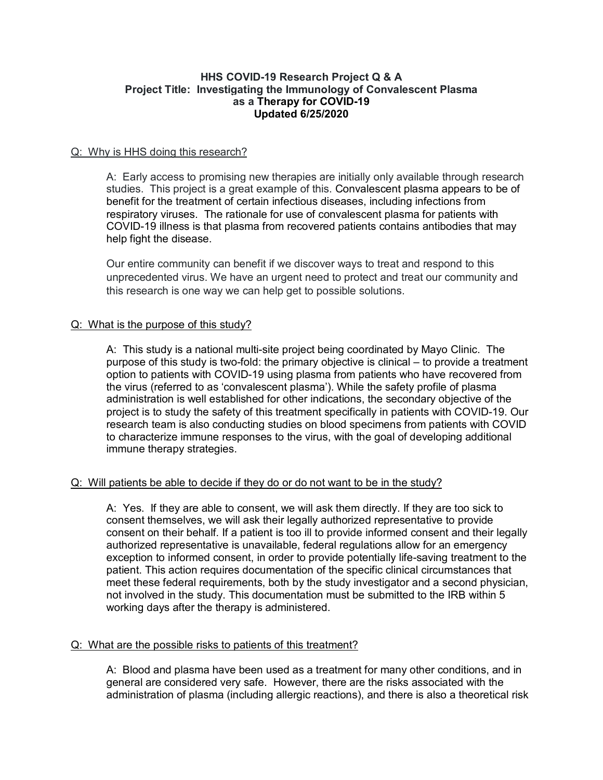## **HHS COVID-19 Research Project Q & A Project Title: Investigating the Immunology of Convalescent Plasma as a Therapy for COVID-19 Updated 6/25/2020**

## Q: Why is HHS doing this research?

A: Early access to promising new therapies are initially only available through research studies. This project is a great example of this. Convalescent plasma appears to be of benefit for the treatment of certain infectious diseases, including infections from respiratory viruses. The rationale for use of convalescent plasma for patients with COVID-19 illness is that plasma from recovered patients contains antibodies that may help fight the disease.

Our entire community can benefit if we discover ways to treat and respond to this unprecedented virus. We have an urgent need to protect and treat our community and this research is one way we can help get to possible solutions.

# Q: What is the purpose of this study?

A: This study is a national multi-site project being coordinated by Mayo Clinic. The purpose of this study is two-fold: the primary objective is clinical – to provide a treatment option to patients with COVID-19 using plasma from patients who have recovered from the virus (referred to as 'convalescent plasma'). While the safety profile of plasma administration is well established for other indications, the secondary objective of the project is to study the safety of this treatment specifically in patients with COVID-19. Our research team is also conducting studies on blood specimens from patients with COVID to characterize immune responses to the virus, with the goal of developing additional immune therapy strategies.

# Q: Will patients be able to decide if they do or do not want to be in the study?

A: Yes. If they are able to consent, we will ask them directly. If they are too sick to consent themselves, we will ask their legally authorized representative to provide consent on their behalf. If a patient is too ill to provide informed consent and their legally authorized representative is unavailable, federal regulations allow for an emergency exception to informed consent, in order to provide potentially life-saving treatment to the patient. This action requires documentation of the specific clinical circumstances that meet these federal requirements, both by the study investigator and a second physician, not involved in the study. This documentation must be submitted to the IRB within 5 working days after the therapy is administered.

### Q: What are the possible risks to patients of this treatment?

A: Blood and plasma have been used as a treatment for many other conditions, and in general are considered very safe. However, there are the risks associated with the administration of plasma (including allergic reactions), and there is also a theoretical risk